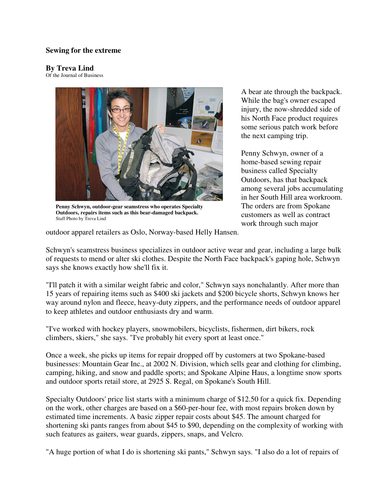## **Sewing for the extreme**

## **By Treva Lind**

Of the Journal of Business



**Penny Schwyn, outdoor-gear seamstress who operates Specialty Outdoors, repairs items such as this bear-damaged backpack.** Staff Photo by Treva Lind

A bear ate through the backpack. While the bag's owner escaped injury, the now-shredded side of his North Face product requires some serious patch work before the next camping trip.

Penny Schwyn, owner of a home-based sewing repair business called Specialty Outdoors, has that backpack among several jobs accumulating in her South Hill area workroom. The orders are from Spokane customers as well as contract work through such major

outdoor apparel retailers as Oslo, Norway-based Helly Hansen.

Schwyn's seamstress business specializes in outdoor active wear and gear, including a large bulk of requests to mend or alter ski clothes. Despite the North Face backpack's gaping hole, Schwyn says she knows exactly how she'll fix it.

"I'll patch it with a similar weight fabric and color," Schwyn says nonchalantly. After more than 15 years of repairing items such as \$400 ski jackets and \$200 bicycle shorts, Schwyn knows her way around nylon and fleece, heavy-duty zippers, and the performance needs of outdoor apparel to keep athletes and outdoor enthusiasts dry and warm.

"I've worked with hockey players, snowmobilers, bicyclists, fishermen, dirt bikers, rock climbers, skiers," she says. "I've probably hit every sport at least once."

Once a week, she picks up items for repair dropped off by customers at two Spokane-based businesses: Mountain Gear Inc., at 2002 N. Division, which sells gear and clothing for climbing, camping, hiking, and snow and paddle sports; and Spokane Alpine Haus, a longtime snow sports and outdoor sports retail store, at 2925 S. Regal, on Spokane's South Hill.

Specialty Outdoors' price list starts with a minimum charge of \$12.50 for a quick fix. Depending on the work, other charges are based on a \$60-per-hour fee, with most repairs broken down by estimated time increments. A basic zipper repair costs about \$45. The amount charged for shortening ski pants ranges from about \$45 to \$90, depending on the complexity of working with such features as gaiters, wear guards, zippers, snaps, and Velcro.

"A huge portion of what I do is shortening ski pants," Schwyn says. "I also do a lot of repairs of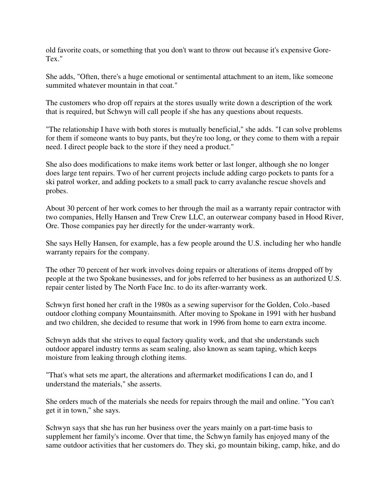old favorite coats, or something that you don't want to throw out because it's expensive Gore-Tex."

She adds, "Often, there's a huge emotional or sentimental attachment to an item, like someone summited whatever mountain in that coat."

The customers who drop off repairs at the stores usually write down a description of the work that is required, but Schwyn will call people if she has any questions about requests.

"The relationship I have with both stores is mutually beneficial," she adds. "I can solve problems for them if someone wants to buy pants, but they're too long, or they come to them with a repair need. I direct people back to the store if they need a product."

She also does modifications to make items work better or last longer, although she no longer does large tent repairs. Two of her current projects include adding cargo pockets to pants for a ski patrol worker, and adding pockets to a small pack to carry avalanche rescue shovels and probes.

About 30 percent of her work comes to her through the mail as a warranty repair contractor with two companies, Helly Hansen and Trew Crew LLC, an outerwear company based in Hood River, Ore. Those companies pay her directly for the under-warranty work.

She says Helly Hansen, for example, has a few people around the U.S. including her who handle warranty repairs for the company.

The other 70 percent of her work involves doing repairs or alterations of items dropped off by people at the two Spokane businesses, and for jobs referred to her business as an authorized U.S. repair center listed by The North Face Inc. to do its after-warranty work.

Schwyn first honed her craft in the 1980s as a sewing supervisor for the Golden, Colo.-based outdoor clothing company Mountainsmith. After moving to Spokane in 1991 with her husband and two children, she decided to resume that work in 1996 from home to earn extra income.

Schwyn adds that she strives to equal factory quality work, and that she understands such outdoor apparel industry terms as seam sealing, also known as seam taping, which keeps moisture from leaking through clothing items.

"That's what sets me apart, the alterations and aftermarket modifications I can do, and I understand the materials," she asserts.

She orders much of the materials she needs for repairs through the mail and online. "You can't get it in town," she says.

Schwyn says that she has run her business over the years mainly on a part-time basis to supplement her family's income. Over that time, the Schwyn family has enjoyed many of the same outdoor activities that her customers do. They ski, go mountain biking, camp, hike, and do